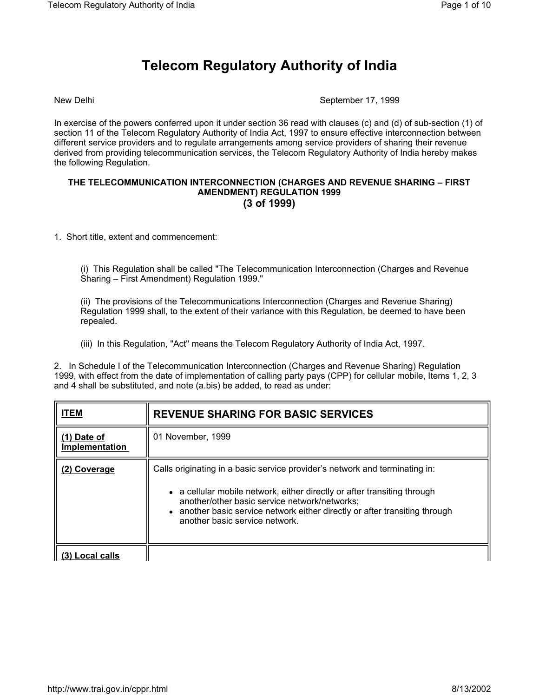## **Telecom Regulatory Authority of India**

New Delhi September 17, 1999

In exercise of the powers conferred upon it under section 36 read with clauses (c) and (d) of sub-section (1) of section 11 of the Telecom Regulatory Authority of India Act, 1997 to ensure effective interconnection between different service providers and to regulate arrangements among service providers of sharing their revenue derived from providing telecommunication services, the Telecom Regulatory Authority of India hereby makes the following Regulation.

## **THE TELECOMMUNICATION INTERCONNECTION (CHARGES AND REVENUE SHARING – FIRST AMENDMENT) REGULATION 1999 (3 of 1999)**

1. Short title, extent and commencement:

(i) This Regulation shall be called "The Telecommunication Interconnection (Charges and Revenue Sharing – First Amendment) Regulation 1999."

(ii) The provisions of the Telecommunications Interconnection (Charges and Revenue Sharing) Regulation 1999 shall, to the extent of their variance with this Regulation, be deemed to have been repealed.

(iii) In this Regulation, "Act" means the Telecom Regulatory Authority of India Act, 1997.

2. In Schedule I of the Telecommunication Interconnection (Charges and Revenue Sharing) Regulation 1999, with effect from the date of implementation of calling party pays (CPP) for cellular mobile, Items 1, 2, 3 and 4 shall be substituted, and note (a.bis) be added, to read as under:

| <b>ITEM</b>                   | <b>REVENUE SHARING FOR BASIC SERVICES</b>                                                                                                                                                                                                                                                                                 |
|-------------------------------|---------------------------------------------------------------------------------------------------------------------------------------------------------------------------------------------------------------------------------------------------------------------------------------------------------------------------|
| (1) Date of<br>Implementation | 01 November, 1999                                                                                                                                                                                                                                                                                                         |
| (2) Coverage                  | Calls originating in a basic service provider's network and terminating in:<br>• a cellular mobile network, either directly or after transiting through<br>another/other basic service network/networks;<br>• another basic service network either directly or after transiting through<br>another basic service network. |
| Local calls                   |                                                                                                                                                                                                                                                                                                                           |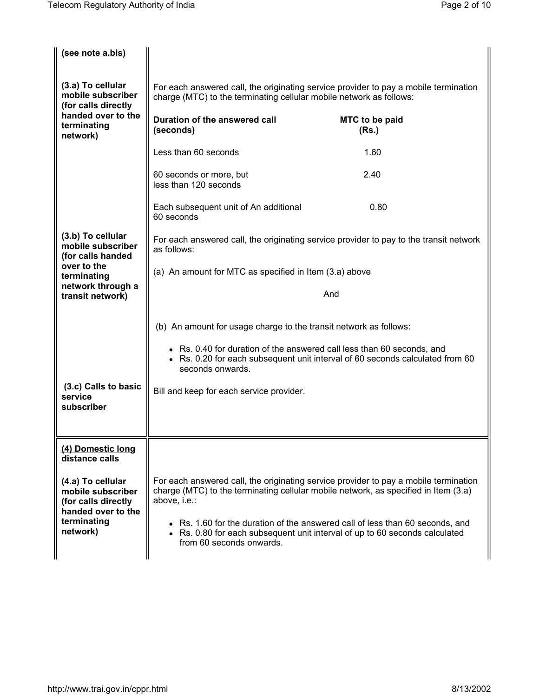| (see note a.bis)                                                                                               |                                                                                                                                                             |                                                                                                                                                                             |
|----------------------------------------------------------------------------------------------------------------|-------------------------------------------------------------------------------------------------------------------------------------------------------------|-----------------------------------------------------------------------------------------------------------------------------------------------------------------------------|
| (3.a) To cellular<br>mobile subscriber<br>(for calls directly                                                  | For each answered call, the originating service provider to pay a mobile termination<br>charge (MTC) to the terminating cellular mobile network as follows: |                                                                                                                                                                             |
| handed over to the<br>terminating<br>network)                                                                  | Duration of the answered call<br>(seconds)                                                                                                                  | MTC to be paid<br>(Rs.)                                                                                                                                                     |
|                                                                                                                | Less than 60 seconds                                                                                                                                        | 1.60                                                                                                                                                                        |
|                                                                                                                | 60 seconds or more, but<br>less than 120 seconds                                                                                                            | 2.40                                                                                                                                                                        |
|                                                                                                                | Each subsequent unit of An additional<br>60 seconds                                                                                                         | 0.80                                                                                                                                                                        |
| (3.b) To cellular<br>mobile subscriber<br>(for calls handed                                                    | as follows:                                                                                                                                                 | For each answered call, the originating service provider to pay to the transit network                                                                                      |
| over to the<br>terminating                                                                                     | (a) An amount for MTC as specified in Item (3.a) above                                                                                                      |                                                                                                                                                                             |
| network through a<br>transit network)                                                                          |                                                                                                                                                             | And                                                                                                                                                                         |
|                                                                                                                | (b) An amount for usage charge to the transit network as follows:                                                                                           |                                                                                                                                                                             |
|                                                                                                                | • Rs. 0.40 for duration of the answered call less than 60 seconds, and<br>seconds onwards.                                                                  | • Rs. 0.20 for each subsequent unit interval of 60 seconds calculated from 60                                                                                               |
| (3.c) Calls to basic<br>service                                                                                | Bill and keep for each service provider.                                                                                                                    |                                                                                                                                                                             |
| subscriber                                                                                                     |                                                                                                                                                             |                                                                                                                                                                             |
| (4) Domestic long<br>distance calls                                                                            |                                                                                                                                                             |                                                                                                                                                                             |
| (4.a) To cellular<br>mobile subscriber<br>(for calls directly<br>handed over to the<br>terminating<br>network) | above, i.e.:                                                                                                                                                | For each answered call, the originating service provider to pay a mobile termination<br>charge (MTC) to the terminating cellular mobile network, as specified in Item (3.a) |
|                                                                                                                | from 60 seconds onwards.                                                                                                                                    | • Rs. 1.60 for the duration of the answered call of less than 60 seconds, and<br>• Rs. 0.80 for each subsequent unit interval of up to 60 seconds calculated                |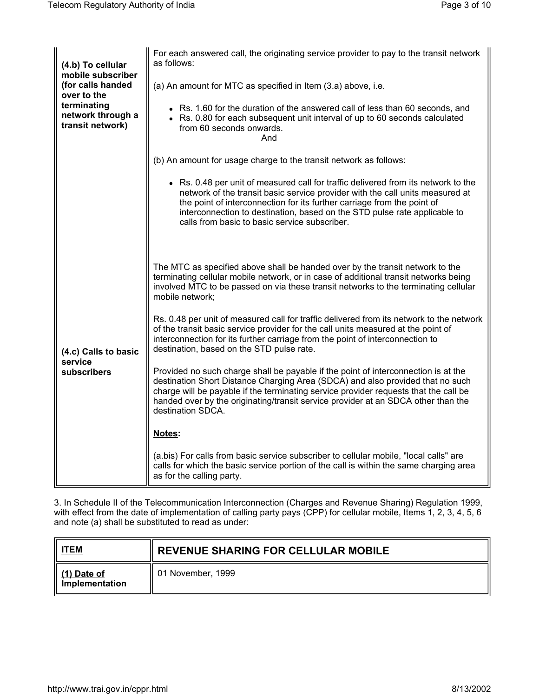| (4.b) To cellular<br>mobile subscriber<br>(for calls handed<br>over to the<br>terminating<br>network through a<br>transit network) | For each answered call, the originating service provider to pay to the transit network<br>as follows:                                                                                                                                                                                                                                                                        |
|------------------------------------------------------------------------------------------------------------------------------------|------------------------------------------------------------------------------------------------------------------------------------------------------------------------------------------------------------------------------------------------------------------------------------------------------------------------------------------------------------------------------|
|                                                                                                                                    | (a) An amount for MTC as specified in Item (3.a) above, i.e.                                                                                                                                                                                                                                                                                                                 |
|                                                                                                                                    | • Rs. 1.60 for the duration of the answered call of less than 60 seconds, and<br>• Rs. 0.80 for each subsequent unit interval of up to 60 seconds calculated<br>from 60 seconds onwards.<br>And                                                                                                                                                                              |
|                                                                                                                                    | (b) An amount for usage charge to the transit network as follows:                                                                                                                                                                                                                                                                                                            |
|                                                                                                                                    | • Rs. 0.48 per unit of measured call for traffic delivered from its network to the<br>network of the transit basic service provider with the call units measured at<br>the point of interconnection for its further carriage from the point of<br>interconnection to destination, based on the STD pulse rate applicable to<br>calls from basic to basic service subscriber. |
| (4.c) Calls to basic<br>service<br>subscribers                                                                                     | The MTC as specified above shall be handed over by the transit network to the<br>terminating cellular mobile network, or in case of additional transit networks being<br>involved MTC to be passed on via these transit networks to the terminating cellular<br>mobile network;                                                                                              |
|                                                                                                                                    | Rs. 0.48 per unit of measured call for traffic delivered from its network to the network<br>of the transit basic service provider for the call units measured at the point of<br>interconnection for its further carriage from the point of interconnection to<br>destination, based on the STD pulse rate.                                                                  |
|                                                                                                                                    | Provided no such charge shall be payable if the point of interconnection is at the<br>destination Short Distance Charging Area (SDCA) and also provided that no such<br>charge will be payable if the terminating service provider requests that the call be<br>handed over by the originating/transit service provider at an SDCA other than the<br>destination SDCA.       |
|                                                                                                                                    | Notes:                                                                                                                                                                                                                                                                                                                                                                       |
|                                                                                                                                    | (a.bis) For calls from basic service subscriber to cellular mobile, "local calls" are<br>calls for which the basic service portion of the call is within the same charging area<br>as for the calling party.                                                                                                                                                                 |

3. In Schedule II of the Telecommunication Interconnection (Charges and Revenue Sharing) Regulation 1999, with effect from the date of implementation of calling party pays (CPP) for cellular mobile, Items 1, 2, 3, 4, 5, 6 and note (a) shall be substituted to read as under:

| <b>ITEM</b>                   | <b>REVENUE SHARING FOR CELLULAR MOBILE</b> |
|-------------------------------|--------------------------------------------|
| (1) Date of<br>Implementation | 01 November, 1999                          |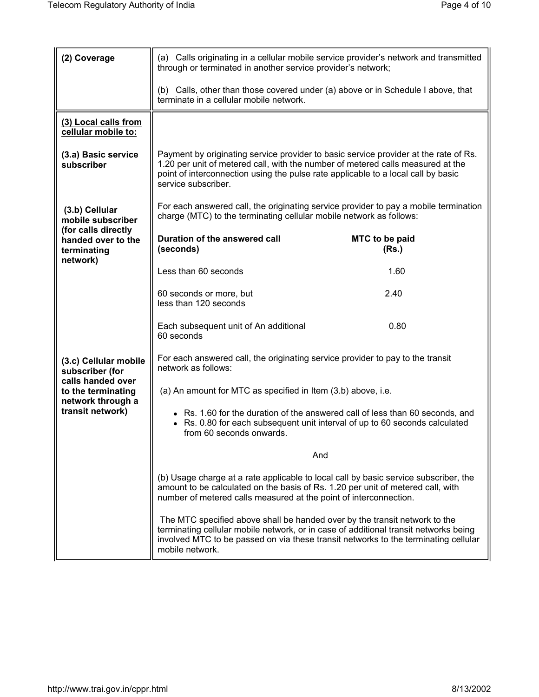| (2) Coverage                                                                                                                 | (a) Calls originating in a cellular mobile service provider's network and transmitted<br>through or terminated in another service provider's network;                                                                                                                               |                         |
|------------------------------------------------------------------------------------------------------------------------------|-------------------------------------------------------------------------------------------------------------------------------------------------------------------------------------------------------------------------------------------------------------------------------------|-------------------------|
|                                                                                                                              | (b) Calls, other than those covered under (a) above or in Schedule I above, that<br>terminate in a cellular mobile network.                                                                                                                                                         |                         |
| (3) Local calls from<br>cellular mobile to:                                                                                  |                                                                                                                                                                                                                                                                                     |                         |
| (3.a) Basic service<br>subscriber                                                                                            | Payment by originating service provider to basic service provider at the rate of Rs.<br>1.20 per unit of metered call, with the number of metered calls measured at the<br>point of interconnection using the pulse rate applicable to a local call by basic<br>service subscriber. |                         |
| (3.b) Cellular<br>mobile subscriber<br>(for calls directly<br>handed over to the<br>terminating                              | For each answered call, the originating service provider to pay a mobile termination<br>charge (MTC) to the terminating cellular mobile network as follows:                                                                                                                         |                         |
|                                                                                                                              | Duration of the answered call<br>(seconds)                                                                                                                                                                                                                                          | MTC to be paid<br>(Rs.) |
| network)                                                                                                                     | Less than 60 seconds                                                                                                                                                                                                                                                                | 1.60                    |
|                                                                                                                              | 60 seconds or more, but<br>less than 120 seconds                                                                                                                                                                                                                                    | 2.40                    |
|                                                                                                                              | Each subsequent unit of An additional<br>60 seconds                                                                                                                                                                                                                                 | 0.80                    |
| (3.c) Cellular mobile<br>subscriber (for<br>calls handed over<br>to the terminating<br>network through a<br>transit network) | For each answered call, the originating service provider to pay to the transit<br>network as follows:                                                                                                                                                                               |                         |
|                                                                                                                              | (a) An amount for MTC as specified in Item (3.b) above, i.e.                                                                                                                                                                                                                        |                         |
|                                                                                                                              | • Rs. 1.60 for the duration of the answered call of less than 60 seconds, and<br>Rs. 0.80 for each subsequent unit interval of up to 60 seconds calculated<br>from 60 seconds onwards.                                                                                              |                         |
|                                                                                                                              | And                                                                                                                                                                                                                                                                                 |                         |
|                                                                                                                              | (b) Usage charge at a rate applicable to local call by basic service subscriber, the<br>amount to be calculated on the basis of Rs. 1.20 per unit of metered call, with<br>number of metered calls measured at the point of interconnection.                                        |                         |
|                                                                                                                              | The MTC specified above shall be handed over by the transit network to the<br>terminating cellular mobile network, or in case of additional transit networks being<br>involved MTC to be passed on via these transit networks to the terminating cellular<br>mobile network.        |                         |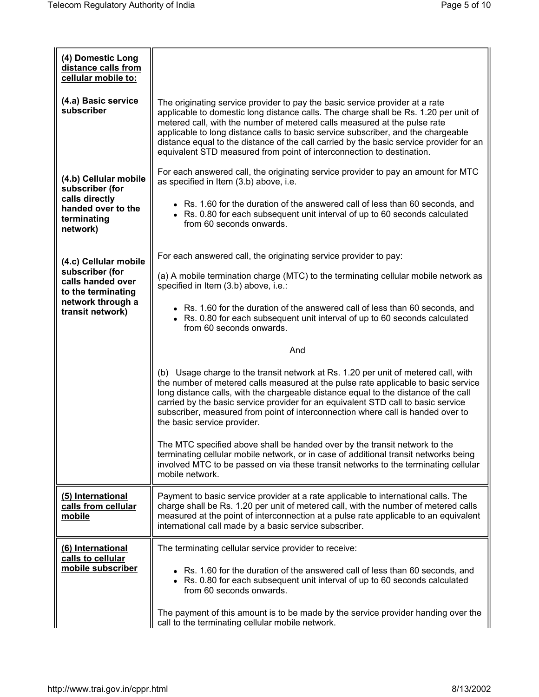| (4) Domestic Long<br>distance calls from<br>cellular mobile to:                                                              |                                                                                                                                                                                                                                                                                                                                                                                                                                                                                                            |
|------------------------------------------------------------------------------------------------------------------------------|------------------------------------------------------------------------------------------------------------------------------------------------------------------------------------------------------------------------------------------------------------------------------------------------------------------------------------------------------------------------------------------------------------------------------------------------------------------------------------------------------------|
| (4.a) Basic service<br>subscriber                                                                                            | The originating service provider to pay the basic service provider at a rate<br>applicable to domestic long distance calls. The charge shall be Rs. 1.20 per unit of<br>metered call, with the number of metered calls measured at the pulse rate<br>applicable to long distance calls to basic service subscriber, and the chargeable<br>distance equal to the distance of the call carried by the basic service provider for an<br>equivalent STD measured from point of interconnection to destination. |
| (4.b) Cellular mobile<br>subscriber (for<br>calls directly<br>handed over to the<br>terminating<br>network)                  | For each answered call, the originating service provider to pay an amount for MTC<br>as specified in Item (3.b) above, i.e.                                                                                                                                                                                                                                                                                                                                                                                |
|                                                                                                                              | • Rs. 1.60 for the duration of the answered call of less than 60 seconds, and<br>• Rs. 0.80 for each subsequent unit interval of up to 60 seconds calculated<br>from 60 seconds onwards.                                                                                                                                                                                                                                                                                                                   |
| (4.c) Cellular mobile<br>subscriber (for<br>calls handed over<br>to the terminating<br>network through a<br>transit network) | For each answered call, the originating service provider to pay:                                                                                                                                                                                                                                                                                                                                                                                                                                           |
|                                                                                                                              | (a) A mobile termination charge (MTC) to the terminating cellular mobile network as<br>specified in Item (3.b) above, i.e.:                                                                                                                                                                                                                                                                                                                                                                                |
|                                                                                                                              | • Rs. 1.60 for the duration of the answered call of less than 60 seconds, and<br>• Rs. 0.80 for each subsequent unit interval of up to 60 seconds calculated<br>from 60 seconds onwards.                                                                                                                                                                                                                                                                                                                   |
|                                                                                                                              | And                                                                                                                                                                                                                                                                                                                                                                                                                                                                                                        |
|                                                                                                                              | (b) Usage charge to the transit network at Rs. 1.20 per unit of metered call, with<br>the number of metered calls measured at the pulse rate applicable to basic service<br>long distance calls, with the chargeable distance equal to the distance of the call<br>carried by the basic service provider for an equivalent STD call to basic service<br>subscriber, measured from point of interconnection where call is handed over to<br>the basic service provider.                                     |
|                                                                                                                              | The MTC specified above shall be handed over by the transit network to the<br>terminating cellular mobile network, or in case of additional transit networks being<br>involved MTC to be passed on via these transit networks to the terminating cellular<br>mobile network.                                                                                                                                                                                                                               |
| (5) International<br>calls from cellular<br>mobile                                                                           | Payment to basic service provider at a rate applicable to international calls. The<br>charge shall be Rs. 1.20 per unit of metered call, with the number of metered calls<br>measured at the point of interconnection at a pulse rate applicable to an equivalent<br>international call made by a basic service subscriber.                                                                                                                                                                                |
| (6) International<br>calls to cellular                                                                                       | The terminating cellular service provider to receive:                                                                                                                                                                                                                                                                                                                                                                                                                                                      |
| mobile subscriber                                                                                                            | • Rs. 1.60 for the duration of the answered call of less than 60 seconds, and<br>• Rs. 0.80 for each subsequent unit interval of up to 60 seconds calculated<br>from 60 seconds onwards.                                                                                                                                                                                                                                                                                                                   |
|                                                                                                                              | The payment of this amount is to be made by the service provider handing over the<br>call to the terminating cellular mobile network.                                                                                                                                                                                                                                                                                                                                                                      |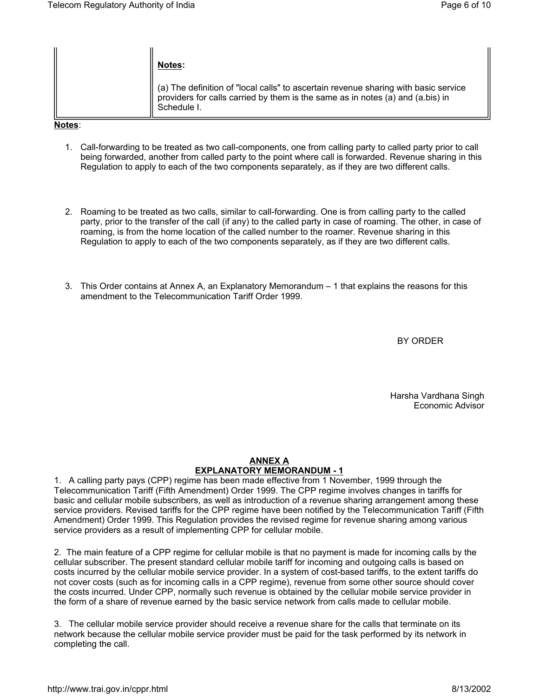|        | Notes:                                                                                                                                                                               |
|--------|--------------------------------------------------------------------------------------------------------------------------------------------------------------------------------------|
|        | (a) The definition of "local calls" to ascertain revenue sharing with basic service<br>providers for calls carried by them is the same as in notes (a) and (a.bis) in<br>Schedule I. |
| Notos: |                                                                                                                                                                                      |

**Notes**:

- 1. Call-forwarding to be treated as two call-components, one from calling party to called party prior to call being forwarded, another from called party to the point where call is forwarded. Revenue sharing in this Regulation to apply to each of the two components separately, as if they are two different calls.
- 2. Roaming to be treated as two calls, similar to call-forwarding. One is from calling party to the called party, prior to the transfer of the call (if any) to the called party in case of roaming. The other, in case of roaming, is from the home location of the called number to the roamer. Revenue sharing in this Regulation to apply to each of the two components separately, as if they are two different calls.
- 3. This Order contains at Annex A, an Explanatory Memorandum 1 that explains the reasons for this amendment to the Telecommunication Tariff Order 1999.

BY ORDER

Harsha Vardhana Singh Economic Advisor

## **ANNEX A EXPLANATORY MEMORANDUM - 1**

1. A calling party pays (CPP) regime has been made effective from 1 November, 1999 through the Telecommunication Tariff (Fifth Amendment) Order 1999. The CPP regime involves changes in tariffs for basic and cellular mobile subscribers, as well as introduction of a revenue sharing arrangement among these service providers. Revised tariffs for the CPP regime have been notified by the Telecommunication Tariff (Fifth Amendment) Order 1999. This Regulation provides the revised regime for revenue sharing among various service providers as a result of implementing CPP for cellular mobile.

2. The main feature of a CPP regime for cellular mobile is that no payment is made for incoming calls by the cellular subscriber. The present standard cellular mobile tariff for incoming and outgoing calls is based on costs incurred by the cellular mobile service provider. In a system of cost-based tariffs, to the extent tariffs do not cover costs (such as for incoming calls in a CPP regime), revenue from some other source should cover the costs incurred. Under CPP, normally such revenue is obtained by the cellular mobile service provider in the form of a share of revenue earned by the basic service network from calls made to cellular mobile.

3. The cellular mobile service provider should receive a revenue share for the calls that terminate on its network because the cellular mobile service provider must be paid for the task performed by its network in completing the call.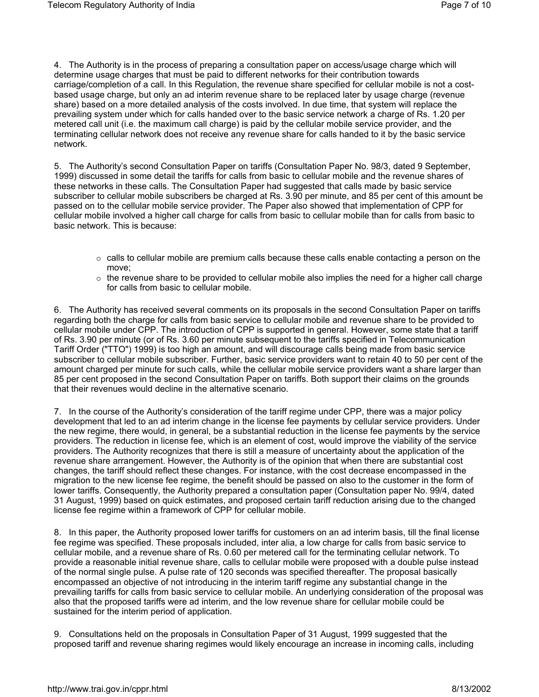4. The Authority is in the process of preparing a consultation paper on access/usage charge which will determine usage charges that must be paid to different networks for their contribution towards carriage/completion of a call. In this Regulation, the revenue share specified for cellular mobile is not a costbased usage charge, but only an ad interim revenue share to be replaced later by usage charge (revenue share) based on a more detailed analysis of the costs involved. In due time, that system will replace the prevailing system under which for calls handed over to the basic service network a charge of Rs. 1.20 per metered call unit (i.e. the maximum call charge) is paid by the cellular mobile service provider, and the terminating cellular network does not receive any revenue share for calls handed to it by the basic service network.

5. The Authority's second Consultation Paper on tariffs (Consultation Paper No. 98/3, dated 9 September, 1999) discussed in some detail the tariffs for calls from basic to cellular mobile and the revenue shares of these networks in these calls. The Consultation Paper had suggested that calls made by basic service subscriber to cellular mobile subscribers be charged at Rs. 3.90 per minute, and 85 per cent of this amount be passed on to the cellular mobile service provider. The Paper also showed that implementation of CPP for cellular mobile involved a higher call charge for calls from basic to cellular mobile than for calls from basic to basic network. This is because:

- $\circ$  calls to cellular mobile are premium calls because these calls enable contacting a person on the move;
- $\circ$  the revenue share to be provided to cellular mobile also implies the need for a higher call charge for calls from basic to cellular mobile.

6. The Authority has received several comments on its proposals in the second Consultation Paper on tariffs regarding both the charge for calls from basic service to cellular mobile and revenue share to be provided to cellular mobile under CPP. The introduction of CPP is supported in general. However, some state that a tariff of Rs. 3.90 per minute (or of Rs. 3.60 per minute subsequent to the tariffs specified in Telecommunication Tariff Order ("TTO") 1999) is too high an amount, and will discourage calls being made from basic service subscriber to cellular mobile subscriber. Further, basic service providers want to retain 40 to 50 per cent of the amount charged per minute for such calls, while the cellular mobile service providers want a share larger than 85 per cent proposed in the second Consultation Paper on tariffs. Both support their claims on the grounds that their revenues would decline in the alternative scenario.

7. In the course of the Authority's consideration of the tariff regime under CPP, there was a major policy development that led to an ad interim change in the license fee payments by cellular service providers. Under the new regime, there would, in general, be a substantial reduction in the license fee payments by the service providers. The reduction in license fee, which is an element of cost, would improve the viability of the service providers. The Authority recognizes that there is still a measure of uncertainty about the application of the revenue share arrangement. However, the Authority is of the opinion that when there are substantial cost changes, the tariff should reflect these changes. For instance, with the cost decrease encompassed in the migration to the new license fee regime, the benefit should be passed on also to the customer in the form of lower tariffs. Consequently, the Authority prepared a consultation paper (Consultation paper No. 99/4, dated 31 August, 1999) based on quick estimates, and proposed certain tariff reduction arising due to the changed license fee regime within a framework of CPP for cellular mobile.

8. In this paper, the Authority proposed lower tariffs for customers on an ad interim basis, till the final license fee regime was specified. These proposals included, inter alia, a low charge for calls from basic service to cellular mobile, and a revenue share of Rs. 0.60 per metered call for the terminating cellular network. To provide a reasonable initial revenue share, calls to cellular mobile were proposed with a double pulse instead of the normal single pulse. A pulse rate of 120 seconds was specified thereafter. The proposal basically encompassed an objective of not introducing in the interim tariff regime any substantial change in the prevailing tariffs for calls from basic service to cellular mobile. An underlying consideration of the proposal was also that the proposed tariffs were ad interim, and the low revenue share for cellular mobile could be sustained for the interim period of application.

9. Consultations held on the proposals in Consultation Paper of 31 August, 1999 suggested that the proposed tariff and revenue sharing regimes would likely encourage an increase in incoming calls, including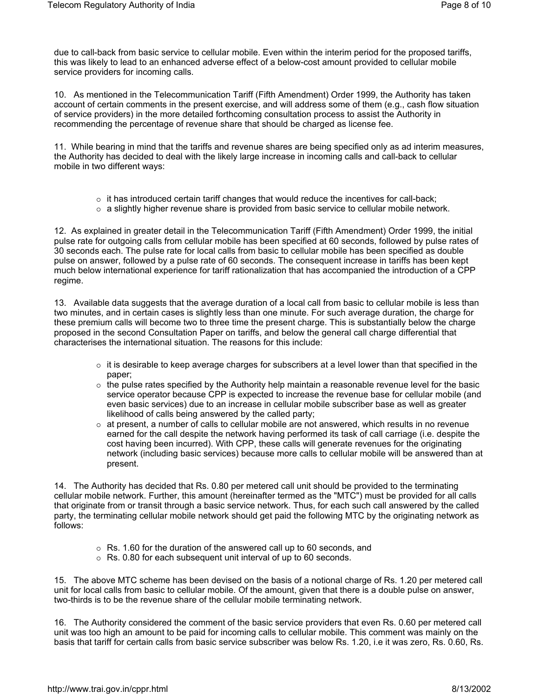due to call-back from basic service to cellular mobile. Even within the interim period for the proposed tariffs, this was likely to lead to an enhanced adverse effect of a below-cost amount provided to cellular mobile service providers for incoming calls.

10. As mentioned in the Telecommunication Tariff (Fifth Amendment) Order 1999, the Authority has taken account of certain comments in the present exercise, and will address some of them (e.g., cash flow situation of service providers) in the more detailed forthcoming consultation process to assist the Authority in recommending the percentage of revenue share that should be charged as license fee.

11. While bearing in mind that the tariffs and revenue shares are being specified only as ad interim measures, the Authority has decided to deal with the likely large increase in incoming calls and call-back to cellular mobile in two different ways:

- $\circ$  it has introduced certain tariff changes that would reduce the incentives for call-back;
- $\circ$  a slightly higher revenue share is provided from basic service to cellular mobile network.

12. As explained in greater detail in the Telecommunication Tariff (Fifth Amendment) Order 1999, the initial pulse rate for outgoing calls from cellular mobile has been specified at 60 seconds, followed by pulse rates of 30 seconds each. The pulse rate for local calls from basic to cellular mobile has been specified as double pulse on answer, followed by a pulse rate of 60 seconds. The consequent increase in tariffs has been kept much below international experience for tariff rationalization that has accompanied the introduction of a CPP regime.

13. Available data suggests that the average duration of a local call from basic to cellular mobile is less than two minutes, and in certain cases is slightly less than one minute. For such average duration, the charge for these premium calls will become two to three time the present charge. This is substantially below the charge proposed in the second Consultation Paper on tariffs, and below the general call charge differential that characterises the international situation. The reasons for this include:

- $\circ$  it is desirable to keep average charges for subscribers at a level lower than that specified in the paper;
- $\circ$  the pulse rates specified by the Authority help maintain a reasonable revenue level for the basic service operator because CPP is expected to increase the revenue base for cellular mobile (and even basic services) due to an increase in cellular mobile subscriber base as well as greater likelihood of calls being answered by the called party;
- $\circ$  at present, a number of calls to cellular mobile are not answered, which results in no revenue earned for the call despite the network having performed its task of call carriage (i.e. despite the cost having been incurred). With CPP, these calls will generate revenues for the originating network (including basic services) because more calls to cellular mobile will be answered than at present.

14. The Authority has decided that Rs. 0.80 per metered call unit should be provided to the terminating cellular mobile network. Further, this amount (hereinafter termed as the "MTC") must be provided for all calls that originate from or transit through a basic service network. Thus, for each such call answered by the called party, the terminating cellular mobile network should get paid the following MTC by the originating network as follows:

- $\circ$  Rs. 1.60 for the duration of the answered call up to 60 seconds, and
- $\circ$  Rs. 0.80 for each subsequent unit interval of up to 60 seconds.

15. The above MTC scheme has been devised on the basis of a notional charge of Rs. 1.20 per metered call unit for local calls from basic to cellular mobile. Of the amount, given that there is a double pulse on answer, two-thirds is to be the revenue share of the cellular mobile terminating network.

16. The Authority considered the comment of the basic service providers that even Rs. 0.60 per metered call unit was too high an amount to be paid for incoming calls to cellular mobile. This comment was mainly on the basis that tariff for certain calls from basic service subscriber was below Rs. 1.20, i.e it was zero, Rs. 0.60, Rs.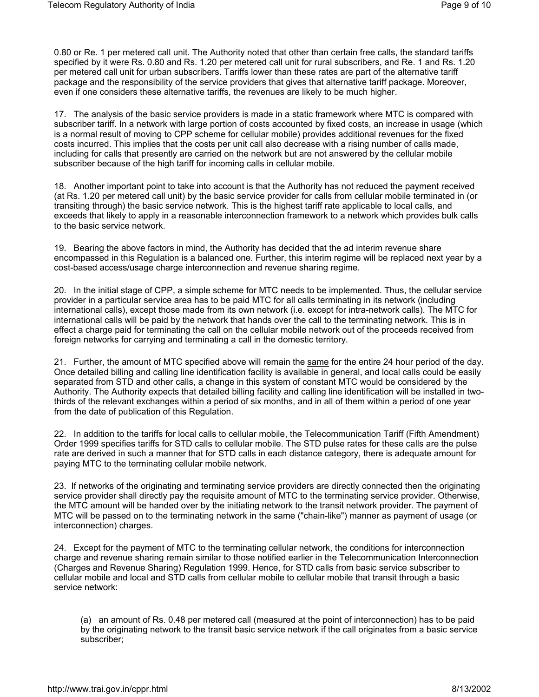0.80 or Re. 1 per metered call unit. The Authority noted that other than certain free calls, the standard tariffs specified by it were Rs. 0.80 and Rs. 1.20 per metered call unit for rural subscribers, and Re. 1 and Rs. 1.20 per metered call unit for urban subscribers. Tariffs lower than these rates are part of the alternative tariff package and the responsibility of the service providers that gives that alternative tariff package. Moreover, even if one considers these alternative tariffs, the revenues are likely to be much higher.

17. The analysis of the basic service providers is made in a static framework where MTC is compared with subscriber tariff. In a network with large portion of costs accounted by fixed costs, an increase in usage (which is a normal result of moving to CPP scheme for cellular mobile) provides additional revenues for the fixed costs incurred. This implies that the costs per unit call also decrease with a rising number of calls made, including for calls that presently are carried on the network but are not answered by the cellular mobile subscriber because of the high tariff for incoming calls in cellular mobile.

18. Another important point to take into account is that the Authority has not reduced the payment received (at Rs. 1.20 per metered call unit) by the basic service provider for calls from cellular mobile terminated in (or transiting through) the basic service network. This is the highest tariff rate applicable to local calls, and exceeds that likely to apply in a reasonable interconnection framework to a network which provides bulk calls to the basic service network.

19. Bearing the above factors in mind, the Authority has decided that the ad interim revenue share encompassed in this Regulation is a balanced one. Further, this interim regime will be replaced next year by a cost-based access/usage charge interconnection and revenue sharing regime.

20. In the initial stage of CPP, a simple scheme for MTC needs to be implemented. Thus, the cellular service provider in a particular service area has to be paid MTC for all calls terminating in its network (including international calls), except those made from its own network (i.e. except for intra-network calls). The MTC for international calls will be paid by the network that hands over the call to the terminating network. This is in effect a charge paid for terminating the call on the cellular mobile network out of the proceeds received from foreign networks for carrying and terminating a call in the domestic territory.

21. Further, the amount of MTC specified above will remain the same for the entire 24 hour period of the day. Once detailed billing and calling line identification facility is available in general, and local calls could be easily separated from STD and other calls, a change in this system of constant MTC would be considered by the Authority. The Authority expects that detailed billing facility and calling line identification will be installed in twothirds of the relevant exchanges within a period of six months, and in all of them within a period of one year from the date of publication of this Regulation.

22. In addition to the tariffs for local calls to cellular mobile, the Telecommunication Tariff (Fifth Amendment) Order 1999 specifies tariffs for STD calls to cellular mobile. The STD pulse rates for these calls are the pulse rate are derived in such a manner that for STD calls in each distance category, there is adequate amount for paying MTC to the terminating cellular mobile network.

23. If networks of the originating and terminating service providers are directly connected then the originating service provider shall directly pay the requisite amount of MTC to the terminating service provider. Otherwise, the MTC amount will be handed over by the initiating network to the transit network provider. The payment of MTC will be passed on to the terminating network in the same ("chain-like") manner as payment of usage (or interconnection) charges.

24. Except for the payment of MTC to the terminating cellular network, the conditions for interconnection charge and revenue sharing remain similar to those notified earlier in the Telecommunication Interconnection (Charges and Revenue Sharing) Regulation 1999. Hence, for STD calls from basic service subscriber to cellular mobile and local and STD calls from cellular mobile to cellular mobile that transit through a basic service network:

(a) an amount of Rs. 0.48 per metered call (measured at the point of interconnection) has to be paid by the originating network to the transit basic service network if the call originates from a basic service subscriber;